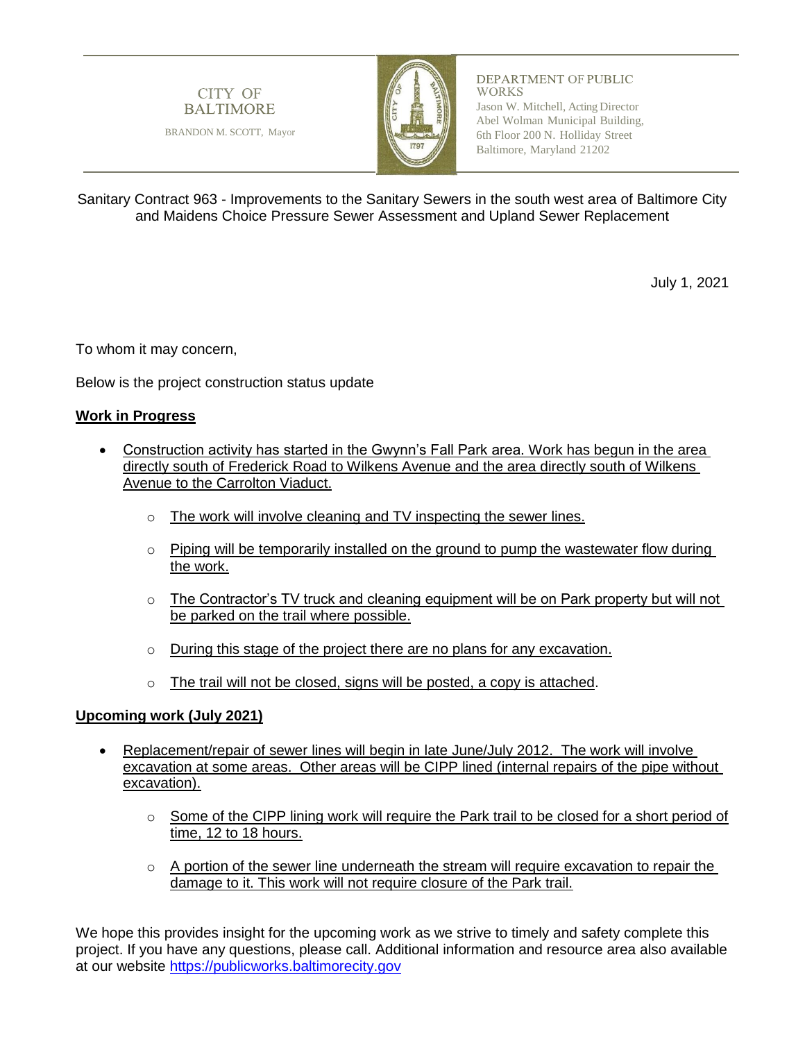

DEPARTMENT OF PUBLIC **WORKS** Jason W. Mitchell, Acting Director Abel Wolman Municipal Building, 6th Floor 200 N. Holliday Street Baltimore, Maryland 21202

Sanitary Contract 963 - Improvements to the Sanitary Sewers in the south west area of Baltimore City and Maidens Choice Pressure Sewer Assessment and Upland Sewer Replacement

July 1, 2021

To whom it may concern,

Below is the project construction status update

BRANDON M. SCOTT, Mayor

**CITY OF** 

**BALTIMORE** 

## **Work in Progress**

- Construction activity has started in the Gwynn's Fall Park area. Work has begun in the area directly south of Frederick Road to Wilkens Avenue and the area directly south of Wilkens Avenue to the Carrolton Viaduct.
	- o The work will involve cleaning and TV inspecting the sewer lines.
	- o Piping will be temporarily installed on the ground to pump the wastewater flow during the work.
	- $\circ$  The Contractor's TV truck and cleaning equipment will be on Park property but will not be parked on the trail where possible.
	- o During this stage of the project there are no plans for any excavation.
	- o The trail will not be closed, signs will be posted, a copy is attached.

## **Upcoming work (July 2021)**

- Replacement/repair of sewer lines will begin in late June/July 2012. The work will involve excavation at some areas. Other areas will be CIPP lined (internal repairs of the pipe without excavation).
	- o Some of the CIPP lining work will require the Park trail to be closed for a short period of time, 12 to 18 hours.
	- $\circ$  A portion of the sewer line underneath the stream will require excavation to repair the damage to it. This work will not require closure of the Park trail.

We hope this provides insight for the upcoming work as we strive to timely and safety complete this project. If you have any questions, please call. Additional information and resource area also available at our website [https://publicworks.baltimorecity.gov](https://publicworks.baltimorecity.gov/)